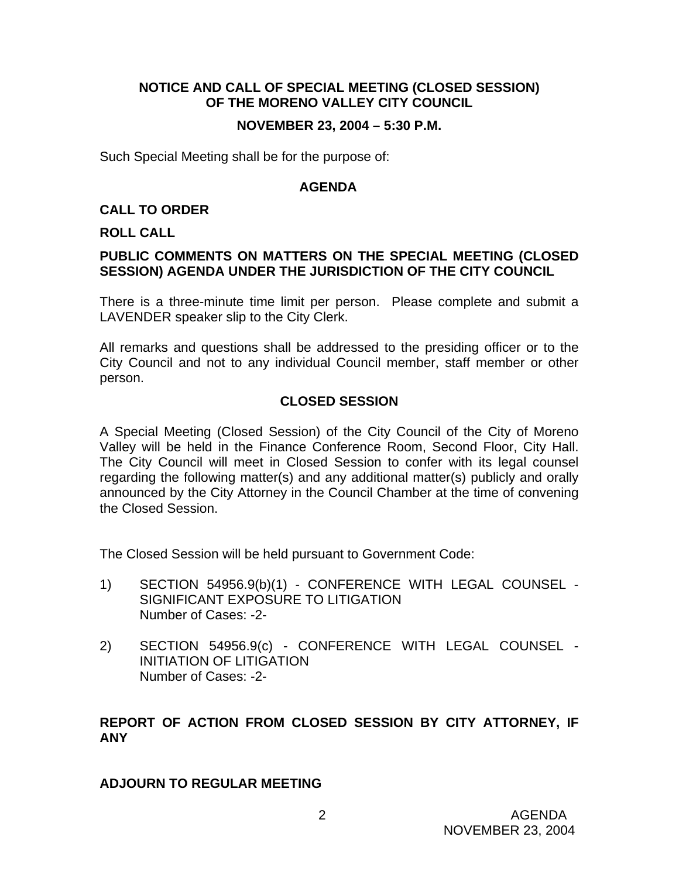# **NOTICE AND CALL OF SPECIAL MEETING (CLOSED SESSION) OF THE MORENO VALLEY CITY COUNCIL**

### **NOVEMBER 23, 2004 – 5:30 P.M.**

Such Special Meeting shall be for the purpose of:

#### **AGENDA**

### **CALL TO ORDER**

#### **ROLL CALL**

### **PUBLIC COMMENTS ON MATTERS ON THE SPECIAL MEETING (CLOSED SESSION) AGENDA UNDER THE JURISDICTION OF THE CITY COUNCIL**

There is a three-minute time limit per person. Please complete and submit a LAVENDER speaker slip to the City Clerk.

All remarks and questions shall be addressed to the presiding officer or to the City Council and not to any individual Council member, staff member or other person.

### **CLOSED SESSION**

A Special Meeting (Closed Session) of the City Council of the City of Moreno Valley will be held in the Finance Conference Room, Second Floor, City Hall. The City Council will meet in Closed Session to confer with its legal counsel regarding the following matter(s) and any additional matter(s) publicly and orally announced by the City Attorney in the Council Chamber at the time of convening the Closed Session.

The Closed Session will be held pursuant to Government Code:

- 1) SECTION 54956.9(b)(1) CONFERENCE WITH LEGAL COUNSEL SIGNIFICANT EXPOSURE TO LITIGATION Number of Cases: -2-
- 2) SECTION 54956.9(c) CONFERENCE WITH LEGAL COUNSEL INITIATION OF LITIGATION Number of Cases: -2-

# **REPORT OF ACTION FROM CLOSED SESSION BY CITY ATTORNEY, IF ANY**

#### **ADJOURN TO REGULAR MEETING**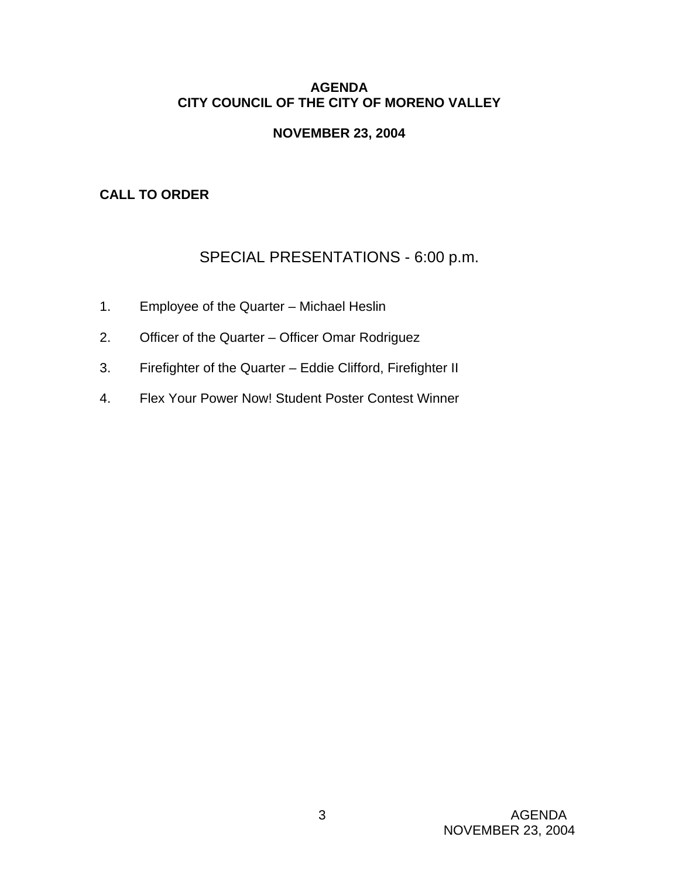# **AGENDA CITY COUNCIL OF THE CITY OF MORENO VALLEY**

# **NOVEMBER 23, 2004**

# **CALL TO ORDER**

# SPECIAL PRESENTATIONS - 6:00 p.m.

- 1. Employee of the Quarter Michael Heslin
- 2. Officer of the Quarter Officer Omar Rodriguez
- 3. Firefighter of the Quarter Eddie Clifford, Firefighter II
- 4. Flex Your Power Now! Student Poster Contest Winner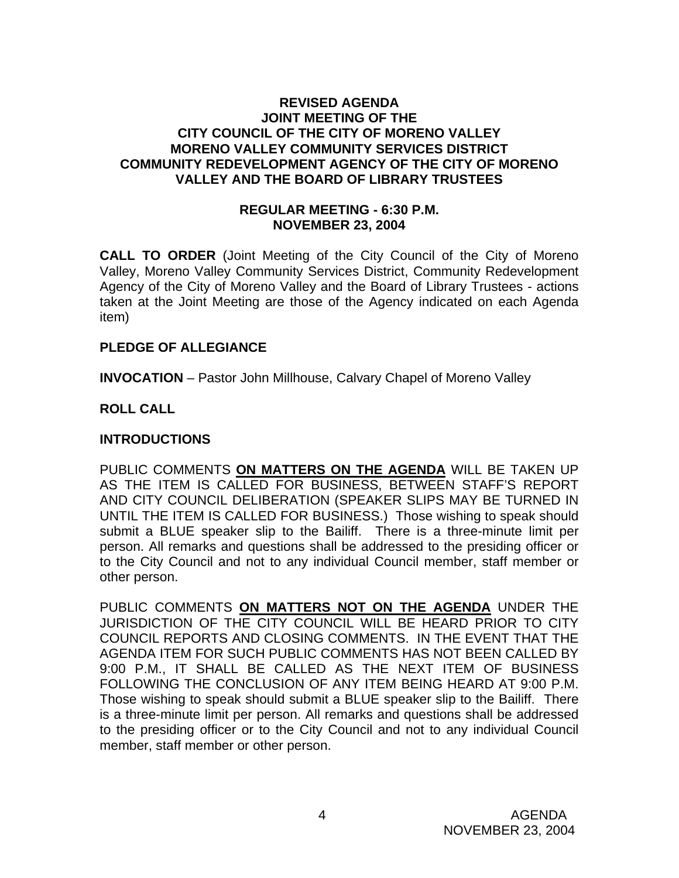### **REVISED AGENDA JOINT MEETING OF THE CITY COUNCIL OF THE CITY OF MORENO VALLEY MORENO VALLEY COMMUNITY SERVICES DISTRICT COMMUNITY REDEVELOPMENT AGENCY OF THE CITY OF MORENO VALLEY AND THE BOARD OF LIBRARY TRUSTEES**

#### **REGULAR MEETING - 6:30 P.M. NOVEMBER 23, 2004**

**CALL TO ORDER** (Joint Meeting of the City Council of the City of Moreno Valley, Moreno Valley Community Services District, Community Redevelopment Agency of the City of Moreno Valley and the Board of Library Trustees - actions taken at the Joint Meeting are those of the Agency indicated on each Agenda item)

# **PLEDGE OF ALLEGIANCE**

**INVOCATION** – Pastor John Millhouse, Calvary Chapel of Moreno Valley

# **ROLL CALL**

# **INTRODUCTIONS**

PUBLIC COMMENTS **ON MATTERS ON THE AGENDA** WILL BE TAKEN UP AS THE ITEM IS CALLED FOR BUSINESS, BETWEEN STAFF'S REPORT AND CITY COUNCIL DELIBERATION (SPEAKER SLIPS MAY BE TURNED IN UNTIL THE ITEM IS CALLED FOR BUSINESS.) Those wishing to speak should submit a BLUE speaker slip to the Bailiff. There is a three-minute limit per person. All remarks and questions shall be addressed to the presiding officer or to the City Council and not to any individual Council member, staff member or other person.

PUBLIC COMMENTS **ON MATTERS NOT ON THE AGENDA** UNDER THE JURISDICTION OF THE CITY COUNCIL WILL BE HEARD PRIOR TO CITY COUNCIL REPORTS AND CLOSING COMMENTS. IN THE EVENT THAT THE AGENDA ITEM FOR SUCH PUBLIC COMMENTS HAS NOT BEEN CALLED BY 9:00 P.M., IT SHALL BE CALLED AS THE NEXT ITEM OF BUSINESS FOLLOWING THE CONCLUSION OF ANY ITEM BEING HEARD AT 9:00 P.M. Those wishing to speak should submit a BLUE speaker slip to the Bailiff. There is a three-minute limit per person. All remarks and questions shall be addressed to the presiding officer or to the City Council and not to any individual Council member, staff member or other person.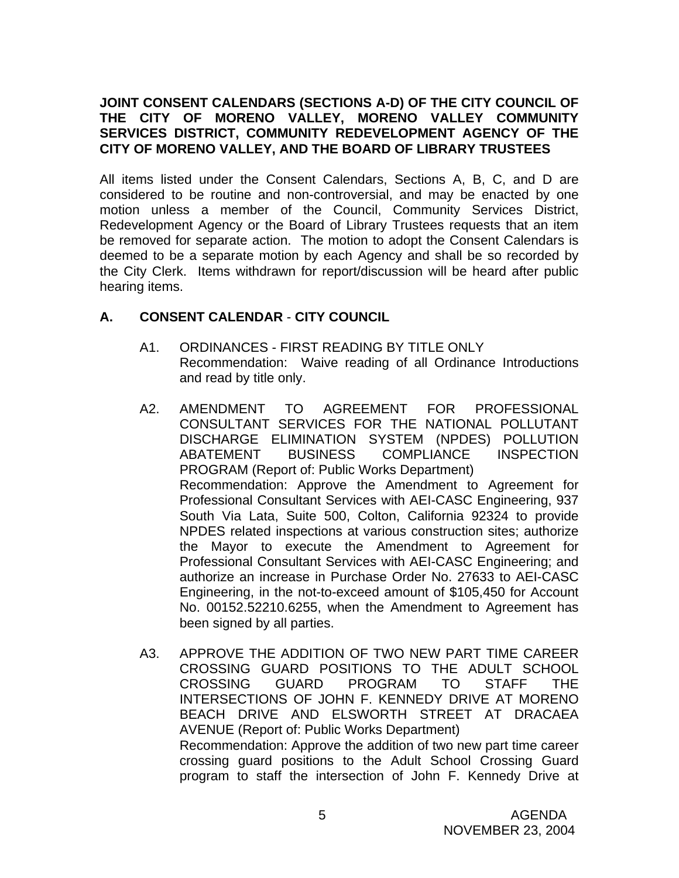# **JOINT CONSENT CALENDARS (SECTIONS A-D) OF THE CITY COUNCIL OF THE CITY OF MORENO VALLEY, MORENO VALLEY COMMUNITY SERVICES DISTRICT, COMMUNITY REDEVELOPMENT AGENCY OF THE CITY OF MORENO VALLEY, AND THE BOARD OF LIBRARY TRUSTEES**

All items listed under the Consent Calendars, Sections A, B, C, and D are considered to be routine and non-controversial, and may be enacted by one motion unless a member of the Council, Community Services District, Redevelopment Agency or the Board of Library Trustees requests that an item be removed for separate action. The motion to adopt the Consent Calendars is deemed to be a separate motion by each Agency and shall be so recorded by the City Clerk. Items withdrawn for report/discussion will be heard after public hearing items.

# **A. CONSENT CALENDAR** - **CITY COUNCIL**

- A1. ORDINANCES FIRST READING BY TITLE ONLY Recommendation: Waive reading of all Ordinance Introductions and read by title only.
- A2. AMENDMENT TO AGREEMENT FOR PROFESSIONAL CONSULTANT SERVICES FOR THE NATIONAL POLLUTANT DISCHARGE ELIMINATION SYSTEM (NPDES) POLLUTION ABATEMENT BUSINESS COMPLIANCE INSPECTION PROGRAM (Report of: Public Works Department) Recommendation: Approve the Amendment to Agreement for Professional Consultant Services with AEI-CASC Engineering, 937 South Via Lata, Suite 500, Colton, California 92324 to provide NPDES related inspections at various construction sites; authorize the Mayor to execute the Amendment to Agreement for Professional Consultant Services with AEI-CASC Engineering; and authorize an increase in Purchase Order No. 27633 to AEI-CASC Engineering, in the not-to-exceed amount of \$105,450 for Account No. 00152.52210.6255, when the Amendment to Agreement has been signed by all parties.
- A3. APPROVE THE ADDITION OF TWO NEW PART TIME CAREER CROSSING GUARD POSITIONS TO THE ADULT SCHOOL CROSSING GUARD PROGRAM TO STAFF THE INTERSECTIONS OF JOHN F. KENNEDY DRIVE AT MORENO BEACH DRIVE AND ELSWORTH STREET AT DRACAEA AVENUE (Report of: Public Works Department) Recommendation: Approve the addition of two new part time career crossing guard positions to the Adult School Crossing Guard program to staff the intersection of John F. Kennedy Drive at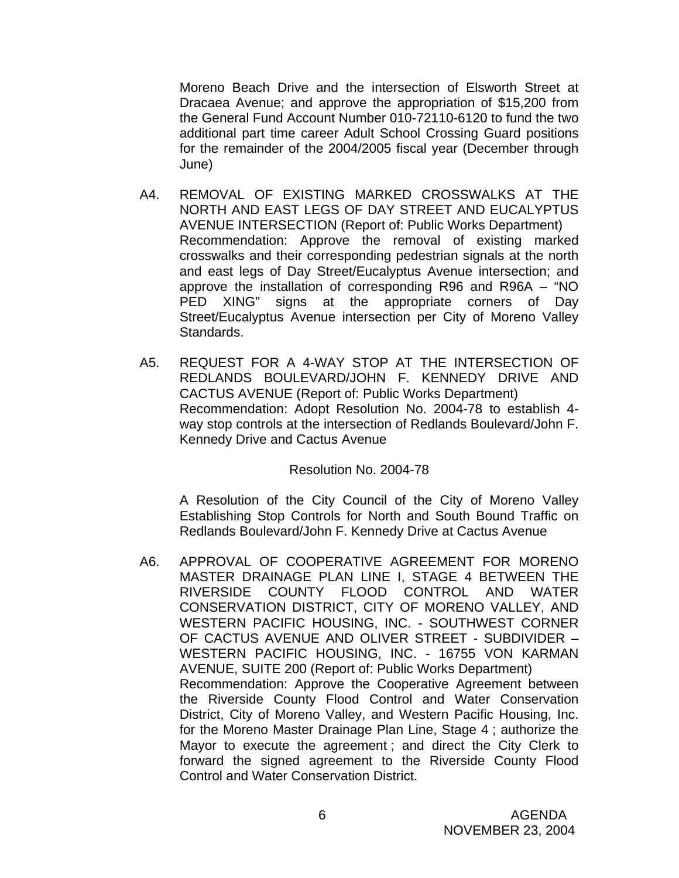Moreno Beach Drive and the intersection of Elsworth Street at Dracaea Avenue; and approve the appropriation of \$15,200 from the General Fund Account Number 010-72110-6120 to fund the two additional part time career Adult School Crossing Guard positions for the remainder of the 2004/2005 fiscal year (December through June)

- A4. REMOVAL OF EXISTING MARKED CROSSWALKS AT THE NORTH AND EAST LEGS OF DAY STREET AND EUCALYPTUS AVENUE INTERSECTION (Report of: Public Works Department) Recommendation: Approve the removal of existing marked crosswalks and their corresponding pedestrian signals at the north and east legs of Day Street/Eucalyptus Avenue intersection; and approve the installation of corresponding R96 and R96A – "NO PED XING" signs at the appropriate corners of Day Street/Eucalyptus Avenue intersection per City of Moreno Valley Standards.
- A5. REQUEST FOR A 4-WAY STOP AT THE INTERSECTION OF REDLANDS BOULEVARD/JOHN F. KENNEDY DRIVE AND CACTUS AVENUE (Report of: Public Works Department) Recommendation: Adopt Resolution No. 2004-78 to establish 4 way stop controls at the intersection of Redlands Boulevard/John F. Kennedy Drive and Cactus Avenue

#### Resolution No. 2004-78

A Resolution of the City Council of the City of Moreno Valley Establishing Stop Controls for North and South Bound Traffic on Redlands Boulevard/John F. Kennedy Drive at Cactus Avenue

 A6. APPROVAL OF COOPERATIVE AGREEMENT FOR MORENO MASTER DRAINAGE PLAN LINE I, STAGE 4 BETWEEN THE RIVERSIDE COUNTY FLOOD CONTROL AND WATER CONSERVATION DISTRICT, CITY OF MORENO VALLEY, AND WESTERN PACIFIC HOUSING, INC. - SOUTHWEST CORNER OF CACTUS AVENUE AND OLIVER STREET - SUBDIVIDER – WESTERN PACIFIC HOUSING, INC. - 16755 VON KARMAN AVENUE, SUITE 200 (Report of: Public Works Department) Recommendation: Approve the Cooperative Agreement between the Riverside County Flood Control and Water Conservation District, City of Moreno Valley, and Western Pacific Housing, Inc. for the Moreno Master Drainage Plan Line, Stage 4 ; authorize the Mayor to execute the agreement ; and direct the City Clerk to forward the signed agreement to the Riverside County Flood Control and Water Conservation District.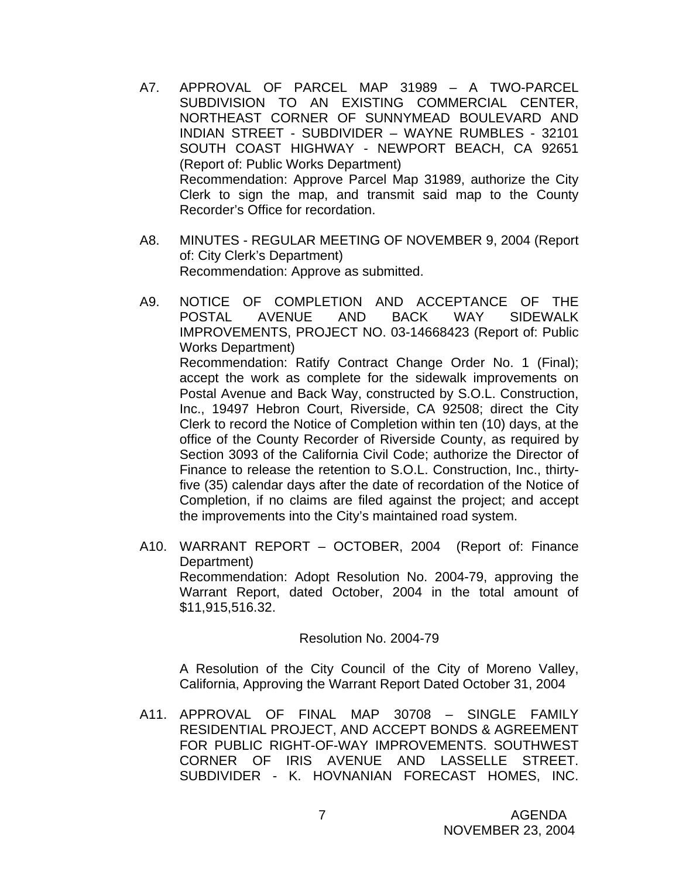- A7. APPROVAL OF PARCEL MAP 31989 A TWO-PARCEL SUBDIVISION TO AN EXISTING COMMERCIAL CENTER, NORTHEAST CORNER OF SUNNYMEAD BOULEVARD AND INDIAN STREET - SUBDIVIDER – WAYNE RUMBLES - 32101 SOUTH COAST HIGHWAY - NEWPORT BEACH, CA 92651 (Report of: Public Works Department) Recommendation: Approve Parcel Map 31989, authorize the City Clerk to sign the map, and transmit said map to the County Recorder's Office for recordation.
- A8. MINUTES REGULAR MEETING OF NOVEMBER 9, 2004 (Report of: City Clerk's Department) Recommendation: Approve as submitted.
- A9. NOTICE OF COMPLETION AND ACCEPTANCE OF THE POSTAL AVENUE AND BACK WAY SIDEWALK IMPROVEMENTS, PROJECT NO. 03-14668423 (Report of: Public Works Department) Recommendation: Ratify Contract Change Order No. 1 (Final); accept the work as complete for the sidewalk improvements on Postal Avenue and Back Way, constructed by S.O.L. Construction, Inc., 19497 Hebron Court, Riverside, CA 92508; direct the City Clerk to record the Notice of Completion within ten (10) days, at the office of the County Recorder of Riverside County, as required by Section 3093 of the California Civil Code; authorize the Director of Finance to release the retention to S.O.L. Construction, Inc., thirtyfive (35) calendar days after the date of recordation of the Notice of Completion, if no claims are filed against the project; and accept the improvements into the City's maintained road system.
- A10. WARRANT REPORT OCTOBER, 2004 (Report of: Finance Department) Recommendation: Adopt Resolution No. 2004-79, approving the Warrant Report, dated October, 2004 in the total amount of \$11,915,516.32.

Resolution No. 2004-79

 A Resolution of the City Council of the City of Moreno Valley, California, Approving the Warrant Report Dated October 31, 2004

A11. APPROVAL OF FINAL MAP 30708 – SINGLE FAMILY RESIDENTIAL PROJECT, AND ACCEPT BONDS & AGREEMENT FOR PUBLIC RIGHT-OF-WAY IMPROVEMENTS. SOUTHWEST CORNER OF IRIS AVENUE AND LASSELLE STREET. SUBDIVIDER - K. HOVNANIAN FORECAST HOMES, INC.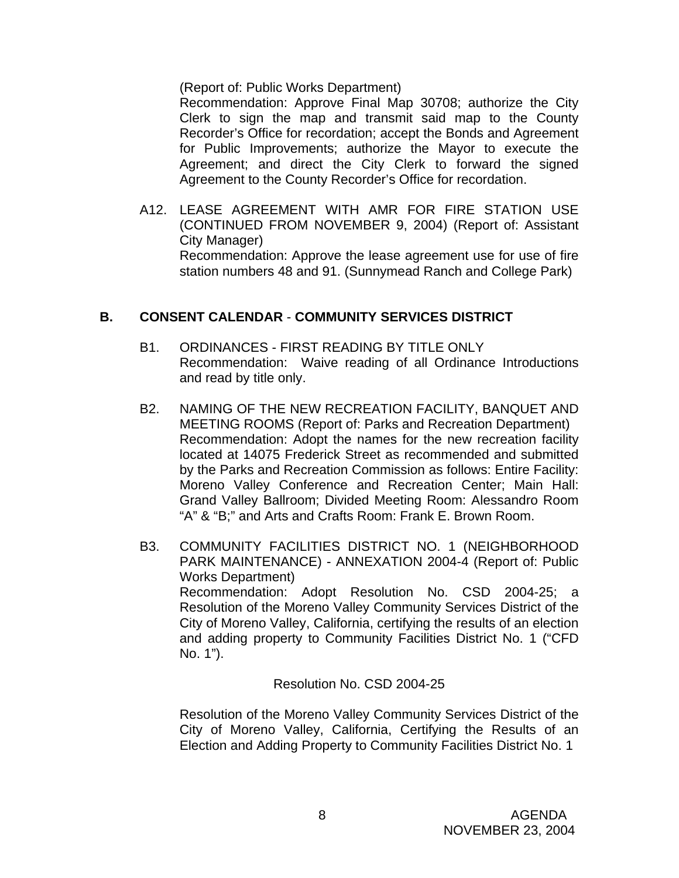(Report of: Public Works Department)

Recommendation: Approve Final Map 30708; authorize the City Clerk to sign the map and transmit said map to the County Recorder's Office for recordation; accept the Bonds and Agreement for Public Improvements; authorize the Mayor to execute the Agreement; and direct the City Clerk to forward the signed Agreement to the County Recorder's Office for recordation.

A12. LEASE AGREEMENT WITH AMR FOR FIRE STATION USE (CONTINUED FROM NOVEMBER 9, 2004) (Report of: Assistant City Manager) Recommendation: Approve the lease agreement use for use of fire station numbers 48 and 91. (Sunnymead Ranch and College Park)

# **B. CONSENT CALENDAR** - **COMMUNITY SERVICES DISTRICT**

- B1. ORDINANCES FIRST READING BY TITLE ONLY Recommendation: Waive reading of all Ordinance Introductions and read by title only.
- B2. NAMING OF THE NEW RECREATION FACILITY, BANQUET AND MEETING ROOMS (Report of: Parks and Recreation Department) Recommendation: Adopt the names for the new recreation facility located at 14075 Frederick Street as recommended and submitted by the Parks and Recreation Commission as follows: Entire Facility: Moreno Valley Conference and Recreation Center; Main Hall: Grand Valley Ballroom; Divided Meeting Room: Alessandro Room "A" & "B;" and Arts and Crafts Room: Frank E. Brown Room.
- B3. COMMUNITY FACILITIES DISTRICT NO. 1 (NEIGHBORHOOD PARK MAINTENANCE) - ANNEXATION 2004-4 (Report of: Public Works Department) Recommendation: Adopt Resolution No. CSD 2004-25; a Resolution of the Moreno Valley Community Services District of the City of Moreno Valley, California, certifying the results of an election and adding property to Community Facilities District No. 1 ("CFD No. 1").

Resolution No. CSD 2004-25

Resolution of the Moreno Valley Community Services District of the City of Moreno Valley, California, Certifying the Results of an Election and Adding Property to Community Facilities District No. 1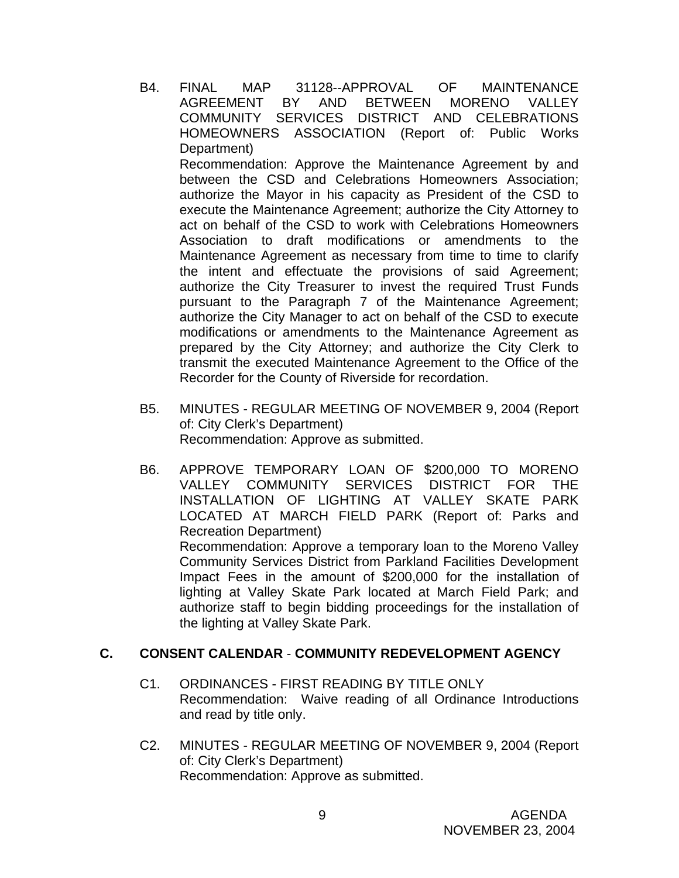B4. FINAL MAP 31128--APPROVAL OF MAINTENANCE AGREEMENT BY AND BETWEEN MORENO VALLEY COMMUNITY SERVICES DISTRICT AND CELEBRATIONS HOMEOWNERS ASSOCIATION (Report of: Public Works Department)

 Recommendation: Approve the Maintenance Agreement by and between the CSD and Celebrations Homeowners Association; authorize the Mayor in his capacity as President of the CSD to execute the Maintenance Agreement; authorize the City Attorney to act on behalf of the CSD to work with Celebrations Homeowners Association to draft modifications or amendments to the Maintenance Agreement as necessary from time to time to clarify the intent and effectuate the provisions of said Agreement; authorize the City Treasurer to invest the required Trust Funds pursuant to the Paragraph 7 of the Maintenance Agreement; authorize the City Manager to act on behalf of the CSD to execute modifications or amendments to the Maintenance Agreement as prepared by the City Attorney; and authorize the City Clerk to transmit the executed Maintenance Agreement to the Office of the Recorder for the County of Riverside for recordation.

- B5. MINUTES REGULAR MEETING OF NOVEMBER 9, 2004 (Report of: City Clerk's Department) Recommendation: Approve as submitted.
- B6. APPROVE TEMPORARY LOAN OF \$200,000 TO MORENO VALLEY COMMUNITY SERVICES DISTRICT FOR THE INSTALLATION OF LIGHTING AT VALLEY SKATE PARK LOCATED AT MARCH FIELD PARK (Report of: Parks and Recreation Department) Recommendation: Approve a temporary loan to the Moreno Valley Community Services District from Parkland Facilities Development Impact Fees in the amount of \$200,000 for the installation of lighting at Valley Skate Park located at March Field Park; and authorize staff to begin bidding proceedings for the installation of the lighting at Valley Skate Park.

# **C. CONSENT CALENDAR** - **COMMUNITY REDEVELOPMENT AGENCY**

- C1. ORDINANCES FIRST READING BY TITLE ONLY Recommendation: Waive reading of all Ordinance Introductions and read by title only.
- C2. MINUTES REGULAR MEETING OF NOVEMBER 9, 2004 (Report of: City Clerk's Department) Recommendation: Approve as submitted.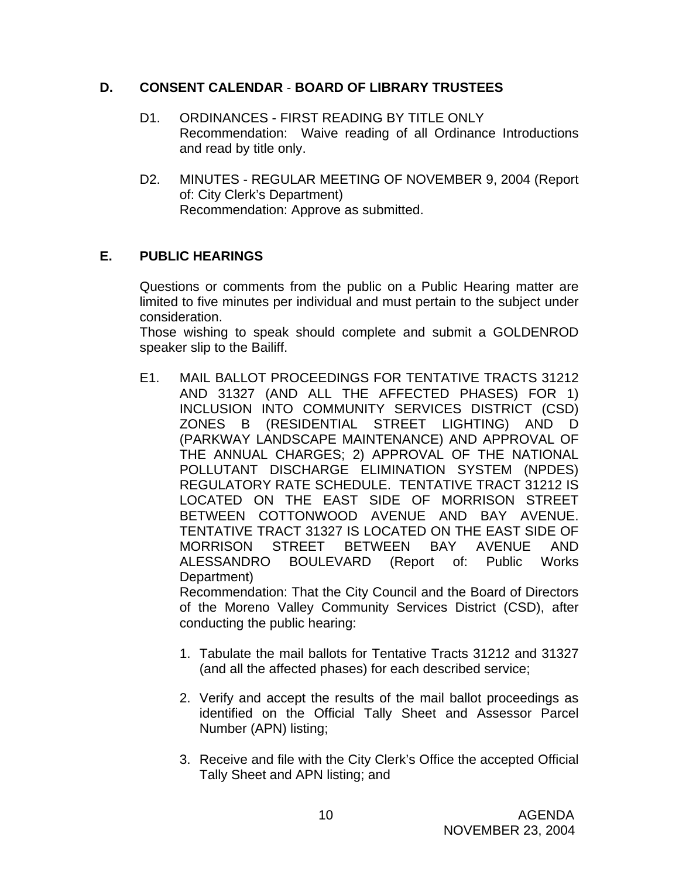# **D. CONSENT CALENDAR** - **BOARD OF LIBRARY TRUSTEES**

- D1. ORDINANCES FIRST READING BY TITLE ONLY Recommendation: Waive reading of all Ordinance Introductions and read by title only.
- D2. MINUTES REGULAR MEETING OF NOVEMBER 9, 2004 (Report of: City Clerk's Department) Recommendation: Approve as submitted.

# **E. PUBLIC HEARINGS**

Questions or comments from the public on a Public Hearing matter are limited to five minutes per individual and must pertain to the subject under consideration.

 Those wishing to speak should complete and submit a GOLDENROD speaker slip to the Bailiff.

E1. MAIL BALLOT PROCEEDINGS FOR TENTATIVE TRACTS 31212 AND 31327 (AND ALL THE AFFECTED PHASES) FOR 1) INCLUSION INTO COMMUNITY SERVICES DISTRICT (CSD) ZONES B (RESIDENTIAL STREET LIGHTING) AND D (PARKWAY LANDSCAPE MAINTENANCE) AND APPROVAL OF THE ANNUAL CHARGES; 2) APPROVAL OF THE NATIONAL POLLUTANT DISCHARGE ELIMINATION SYSTEM (NPDES) REGULATORY RATE SCHEDULE. TENTATIVE TRACT 31212 IS LOCATED ON THE EAST SIDE OF MORRISON STREET BETWEEN COTTONWOOD AVENUE AND BAY AVENUE. TENTATIVE TRACT 31327 IS LOCATED ON THE EAST SIDE OF MORRISON STREET BETWEEN BAY AVENUE AND ALESSANDRO BOULEVARD (Report of: Public Works Department)

 Recommendation: That the City Council and the Board of Directors of the Moreno Valley Community Services District (CSD), after conducting the public hearing:

- 1. Tabulate the mail ballots for Tentative Tracts 31212 and 31327 (and all the affected phases) for each described service;
- 2. Verify and accept the results of the mail ballot proceedings as identified on the Official Tally Sheet and Assessor Parcel Number (APN) listing;
- 3. Receive and file with the City Clerk's Office the accepted Official Tally Sheet and APN listing; and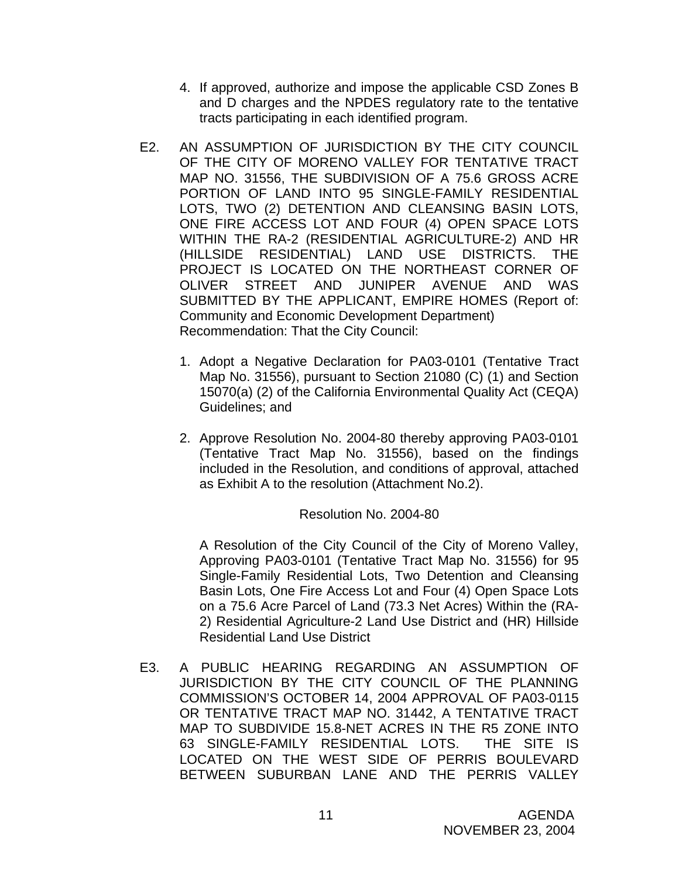- 4. If approved, authorize and impose the applicable CSD Zones B and D charges and the NPDES regulatory rate to the tentative tracts participating in each identified program.
- E2. AN ASSUMPTION OF JURISDICTION BY THE CITY COUNCIL OF THE CITY OF MORENO VALLEY FOR TENTATIVE TRACT MAP NO. 31556, THE SUBDIVISION OF A 75.6 GROSS ACRE PORTION OF LAND INTO 95 SINGLE-FAMILY RESIDENTIAL LOTS, TWO (2) DETENTION AND CLEANSING BASIN LOTS, ONE FIRE ACCESS LOT AND FOUR (4) OPEN SPACE LOTS WITHIN THE RA-2 (RESIDENTIAL AGRICULTURE-2) AND HR (HILLSIDE RESIDENTIAL) LAND USE DISTRICTS. THE PROJECT IS LOCATED ON THE NORTHEAST CORNER OF OLIVER STREET AND JUNIPER AVENUE AND WAS SUBMITTED BY THE APPLICANT, EMPIRE HOMES (Report of: Community and Economic Development Department) Recommendation: That the City Council:
	- 1. Adopt a Negative Declaration for PA03-0101 (Tentative Tract Map No. 31556), pursuant to Section 21080 (C) (1) and Section 15070(a) (2) of the California Environmental Quality Act (CEQA) Guidelines; and
	- 2. Approve Resolution No. 2004-80 thereby approving PA03-0101 (Tentative Tract Map No. 31556), based on the findings included in the Resolution, and conditions of approval, attached as Exhibit A to the resolution (Attachment No.2).

# Resolution No. 2004-80

 A Resolution of the City Council of the City of Moreno Valley, Approving PA03-0101 (Tentative Tract Map No. 31556) for 95 Single-Family Residential Lots, Two Detention and Cleansing Basin Lots, One Fire Access Lot and Four (4) Open Space Lots on a 75.6 Acre Parcel of Land (73.3 Net Acres) Within the (RA-2) Residential Agriculture-2 Land Use District and (HR) Hillside Residential Land Use District

E3. A PUBLIC HEARING REGARDING AN ASSUMPTION OF JURISDICTION BY THE CITY COUNCIL OF THE PLANNING COMMISSION'S OCTOBER 14, 2004 APPROVAL OF PA03-0115 OR TENTATIVE TRACT MAP NO. 31442, A TENTATIVE TRACT MAP TO SUBDIVIDE 15.8-NET ACRES IN THE R5 ZONE INTO 63 SINGLE-FAMILY RESIDENTIAL LOTS. THE SITE IS LOCATED ON THE WEST SIDE OF PERRIS BOULEVARD BETWEEN SUBURBAN LANE AND THE PERRIS VALLEY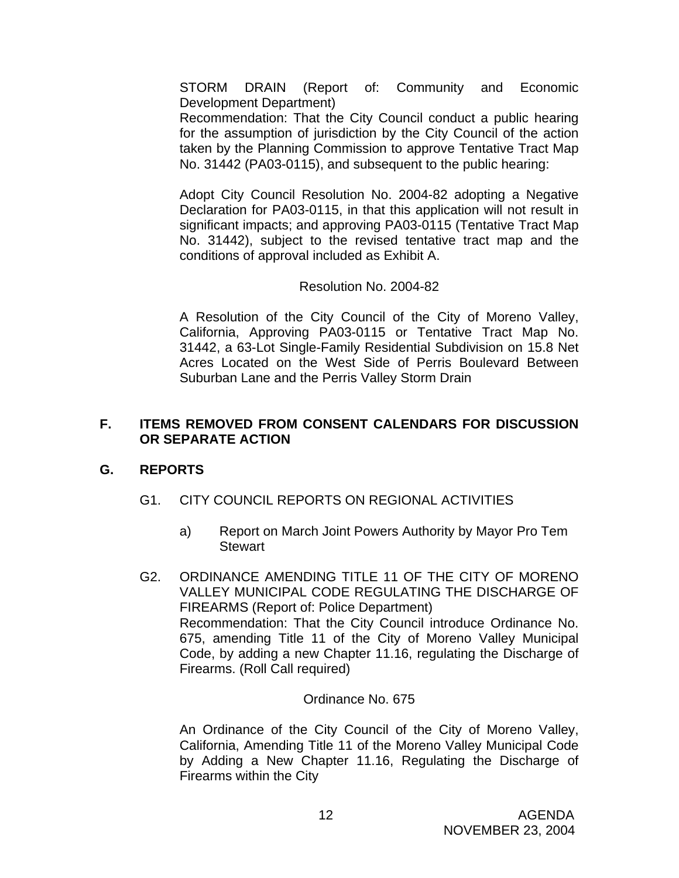STORM DRAIN (Report of: Community and Economic Development Department)

 Recommendation: That the City Council conduct a public hearing for the assumption of jurisdiction by the City Council of the action taken by the Planning Commission to approve Tentative Tract Map No. 31442 (PA03-0115), and subsequent to the public hearing:

 Adopt City Council Resolution No. 2004-82 adopting a Negative Declaration for PA03-0115, in that this application will not result in significant impacts; and approving PA03-0115 (Tentative Tract Map No. 31442), subject to the revised tentative tract map and the conditions of approval included as Exhibit A.

# Resolution No. 2004-82

A Resolution of the City Council of the City of Moreno Valley, California, Approving PA03-0115 or Tentative Tract Map No. 31442, a 63-Lot Single-Family Residential Subdivision on 15.8 Net Acres Located on the West Side of Perris Boulevard Between Suburban Lane and the Perris Valley Storm Drain

# **F. ITEMS REMOVED FROM CONSENT CALENDARS FOR DISCUSSION OR SEPARATE ACTION**

# **G. REPORTS**

- G1. CITY COUNCIL REPORTS ON REGIONAL ACTIVITIES
	- a) Report on March Joint Powers Authority by Mayor Pro Tem **Stewart**
- G2. ORDINANCE AMENDING TITLE 11 OF THE CITY OF MORENO VALLEY MUNICIPAL CODE REGULATING THE DISCHARGE OF FIREARMS (Report of: Police Department) Recommendation: That the City Council introduce Ordinance No. 675, amending Title 11 of the City of Moreno Valley Municipal Code, by adding a new Chapter 11.16, regulating the Discharge of Firearms. (Roll Call required)

# Ordinance No. 675

An Ordinance of the City Council of the City of Moreno Valley, California, Amending Title 11 of the Moreno Valley Municipal Code by Adding a New Chapter 11.16, Regulating the Discharge of Firearms within the City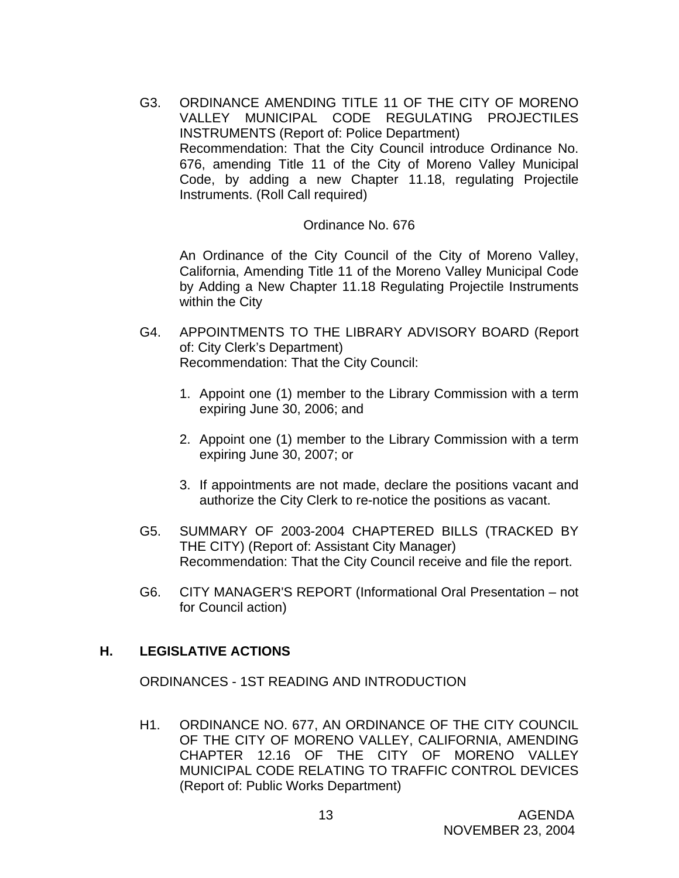G3. ORDINANCE AMENDING TITLE 11 OF THE CITY OF MORENO VALLEY MUNICIPAL CODE REGULATING PROJECTILES INSTRUMENTS (Report of: Police Department) Recommendation: That the City Council introduce Ordinance No. 676, amending Title 11 of the City of Moreno Valley Municipal Code, by adding a new Chapter 11.18, regulating Projectile Instruments. (Roll Call required)

### Ordinance No. 676

An Ordinance of the City Council of the City of Moreno Valley, California, Amending Title 11 of the Moreno Valley Municipal Code by Adding a New Chapter 11.18 Regulating Projectile Instruments within the City

- G4. APPOINTMENTS TO THE LIBRARY ADVISORY BOARD (Report of: City Clerk's Department) Recommendation: That the City Council:
	- 1. Appoint one (1) member to the Library Commission with a term expiring June 30, 2006; and
	- 2. Appoint one (1) member to the Library Commission with a term expiring June 30, 2007; or
	- 3. If appointments are not made, declare the positions vacant and authorize the City Clerk to re-notice the positions as vacant.
- G5. SUMMARY OF 2003-2004 CHAPTERED BILLS (TRACKED BY THE CITY) (Report of: Assistant City Manager) Recommendation: That the City Council receive and file the report.
- G6. CITY MANAGER'S REPORT (Informational Oral Presentation not for Council action)

# **H. LEGISLATIVE ACTIONS**

ORDINANCES - 1ST READING AND INTRODUCTION

H1. ORDINANCE NO. 677, AN ORDINANCE OF THE CITY COUNCIL OF THE CITY OF MORENO VALLEY, CALIFORNIA, AMENDING CHAPTER 12.16 OF THE CITY OF MORENO VALLEY MUNICIPAL CODE RELATING TO TRAFFIC CONTROL DEVICES (Report of: Public Works Department)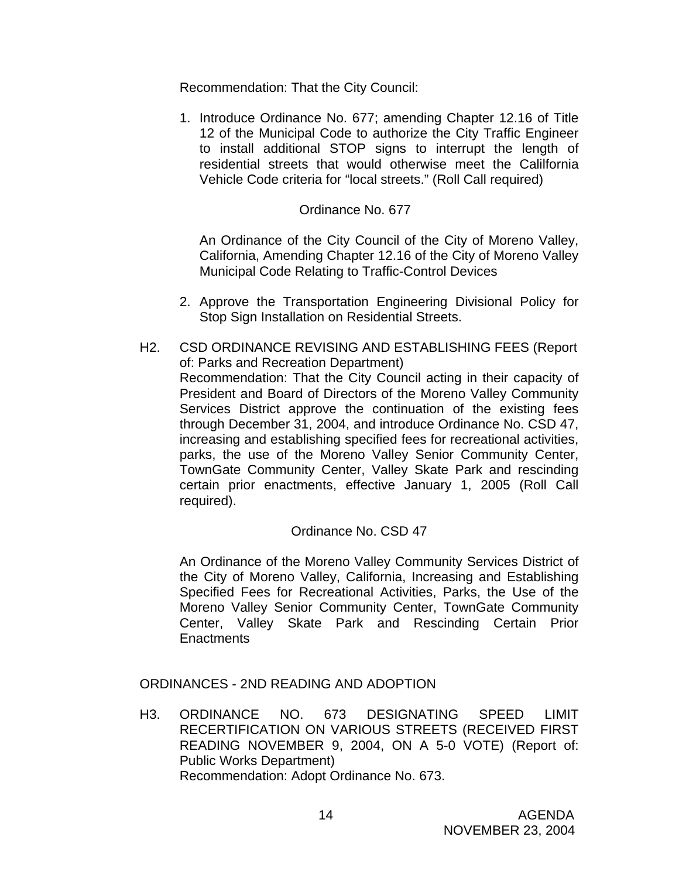Recommendation: That the City Council:

1. Introduce Ordinance No. 677; amending Chapter 12.16 of Title 12 of the Municipal Code to authorize the City Traffic Engineer to install additional STOP signs to interrupt the length of residential streets that would otherwise meet the Calilfornia Vehicle Code criteria for "local streets." (Roll Call required)

### Ordinance No. 677

 An Ordinance of the City Council of the City of Moreno Valley, California, Amending Chapter 12.16 of the City of Moreno Valley Municipal Code Relating to Traffic-Control Devices

- 2. Approve the Transportation Engineering Divisional Policy for Stop Sign Installation on Residential Streets.
- H2. CSD ORDINANCE REVISING AND ESTABLISHING FEES (Report of: Parks and Recreation Department) Recommendation: That the City Council acting in their capacity of President and Board of Directors of the Moreno Valley Community Services District approve the continuation of the existing fees through December 31, 2004, and introduce Ordinance No. CSD 47, increasing and establishing specified fees for recreational activities, parks, the use of the Moreno Valley Senior Community Center, TownGate Community Center, Valley Skate Park and rescinding certain prior enactments, effective January 1, 2005 (Roll Call required).

# Ordinance No. CSD 47

An Ordinance of the Moreno Valley Community Services District of the City of Moreno Valley, California, Increasing and Establishing Specified Fees for Recreational Activities, Parks, the Use of the Moreno Valley Senior Community Center, TownGate Community Center, Valley Skate Park and Rescinding Certain Prior **Enactments** 

ORDINANCES - 2ND READING AND ADOPTION

H3. ORDINANCE NO. 673 DESIGNATING SPEED LIMIT RECERTIFICATION ON VARIOUS STREETS (RECEIVED FIRST READING NOVEMBER 9, 2004, ON A 5-0 VOTE) (Report of: Public Works Department) Recommendation: Adopt Ordinance No. 673.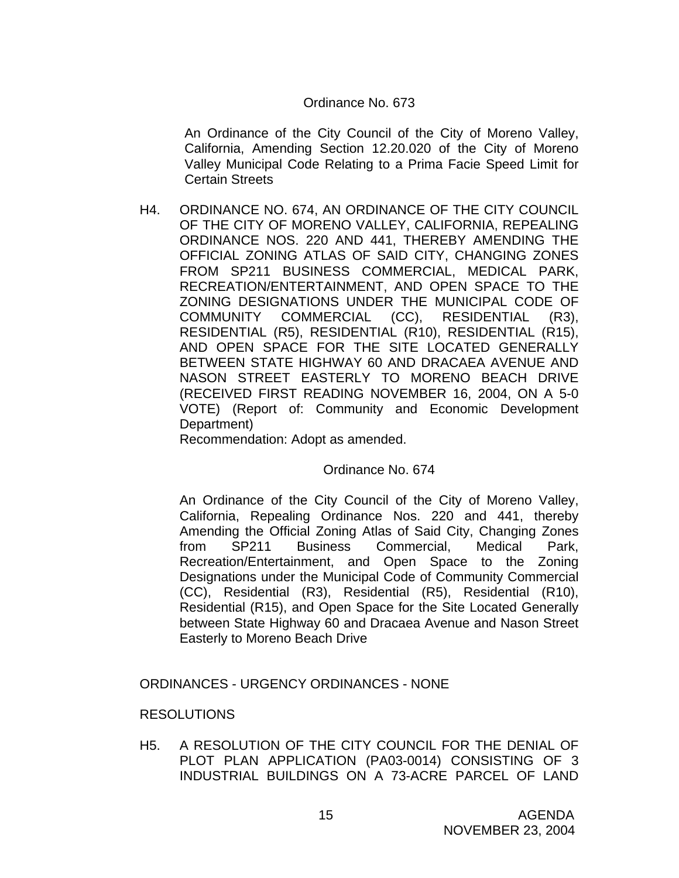### Ordinance No. 673

An Ordinance of the City Council of the City of Moreno Valley, California, Amending Section 12.20.020 of the City of Moreno Valley Municipal Code Relating to a Prima Facie Speed Limit for Certain Streets

H4. ORDINANCE NO. 674, AN ORDINANCE OF THE CITY COUNCIL OF THE CITY OF MORENO VALLEY, CALIFORNIA, REPEALING ORDINANCE NOS. 220 AND 441, THEREBY AMENDING THE OFFICIAL ZONING ATLAS OF SAID CITY, CHANGING ZONES FROM SP211 BUSINESS COMMERCIAL, MEDICAL PARK, RECREATION/ENTERTAINMENT, AND OPEN SPACE TO THE ZONING DESIGNATIONS UNDER THE MUNICIPAL CODE OF COMMUNITY COMMERCIAL (CC), RESIDENTIAL (R3), RESIDENTIAL (R5), RESIDENTIAL (R10), RESIDENTIAL (R15), AND OPEN SPACE FOR THE SITE LOCATED GENERALLY BETWEEN STATE HIGHWAY 60 AND DRACAEA AVENUE AND NASON STREET EASTERLY TO MORENO BEACH DRIVE (RECEIVED FIRST READING NOVEMBER 16, 2004, ON A 5-0 VOTE) (Report of: Community and Economic Development Department)

Recommendation: Adopt as amended.

#### Ordinance No. 674

An Ordinance of the City Council of the City of Moreno Valley, California, Repealing Ordinance Nos. 220 and 441, thereby Amending the Official Zoning Atlas of Said City, Changing Zones from SP211 Business Commercial, Medical Park, Recreation/Entertainment, and Open Space to the Zoning Designations under the Municipal Code of Community Commercial (CC), Residential (R3), Residential (R5), Residential (R10), Residential (R15), and Open Space for the Site Located Generally between State Highway 60 and Dracaea Avenue and Nason Street Easterly to Moreno Beach Drive

ORDINANCES - URGENCY ORDINANCES - NONE

# RESOLUTIONS

H5. A RESOLUTION OF THE CITY COUNCIL FOR THE DENIAL OF PLOT PLAN APPLICATION (PA03-0014) CONSISTING OF 3 INDUSTRIAL BUILDINGS ON A 73-ACRE PARCEL OF LAND